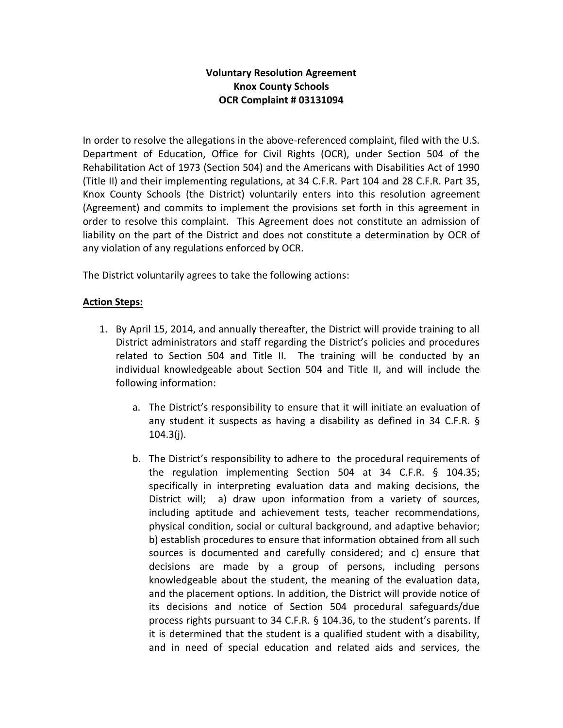## **Voluntary Resolution Agreement Knox County Schools OCR Complaint # 03131094**

In order to resolve the allegations in the above-referenced complaint, filed with the U.S. Department of Education, Office for Civil Rights (OCR), under Section 504 of the Rehabilitation Act of 1973 (Section 504) and the Americans with Disabilities Act of 1990 (Title II) and their implementing regulations, at 34 C.F.R. Part 104 and 28 C.F.R. Part 35, Knox County Schools (the District) voluntarily enters into this resolution agreement (Agreement) and commits to implement the provisions set forth in this agreement in order to resolve this complaint. This Agreement does not constitute an admission of liability on the part of the District and does not constitute a determination by OCR of any violation of any regulations enforced by OCR.

The District voluntarily agrees to take the following actions:

## **Action Steps:**

- 1. By April 15, 2014, and annually thereafter, the District will provide training to all District administrators and staff regarding the District's policies and procedures related to Section 504 and Title II. The training will be conducted by an individual knowledgeable about Section 504 and Title II, and will include the following information:
	- a. The District's responsibility to ensure that it will initiate an evaluation of any student it suspects as having a disability as defined in 34 C.F.R. §  $104.3(i)$ .
	- b. The District's responsibility to adhere to the procedural requirements of the regulation implementing Section 504 at 34 C.F.R. § 104.35; specifically in interpreting evaluation data and making decisions, the District will; a) draw upon information from a variety of sources, including aptitude and achievement tests, teacher recommendations, physical condition, social or cultural background, and adaptive behavior; b) establish procedures to ensure that information obtained from all such sources is documented and carefully considered; and c) ensure that decisions are made by a group of persons, including persons knowledgeable about the student, the meaning of the evaluation data, and the placement options. In addition, the District will provide notice of its decisions and notice of Section 504 procedural safeguards/due process rights pursuant to 34 C.F.R. § 104.36, to the student's parents. If it is determined that the student is a qualified student with a disability, and in need of special education and related aids and services, the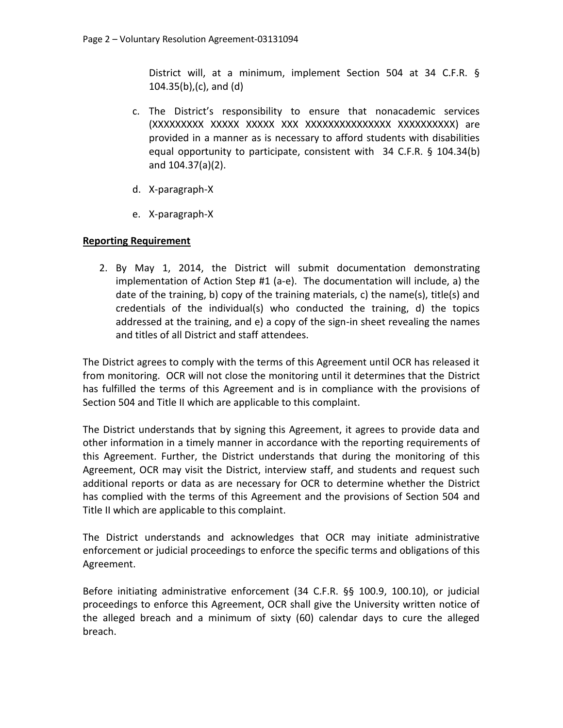District will, at a minimum, implement Section 504 at 34 C.F.R. § 104.35(b),(c), and (d)

- c. The District's responsibility to ensure that nonacademic services (XXXXXXXXX XXXXX XXXXX XXX XXXXXXXXXXXXXXX XXXXXXXXXX) are provided in a manner as is necessary to afford students with disabilities equal opportunity to participate, consistent with 34 C.F.R. § 104.34(b) and 104.37(a)(2).
- d. X-paragraph-X
- e. X-paragraph-X

## **Reporting Requirement**

2. By May 1, 2014, the District will submit documentation demonstrating implementation of Action Step #1 (a-e). The documentation will include, a) the date of the training, b) copy of the training materials, c) the name(s), title(s) and credentials of the individual(s) who conducted the training, d) the topics addressed at the training, and e) a copy of the sign-in sheet revealing the names and titles of all District and staff attendees.

The District agrees to comply with the terms of this Agreement until OCR has released it from monitoring. OCR will not close the monitoring until it determines that the District has fulfilled the terms of this Agreement and is in compliance with the provisions of Section 504 and Title II which are applicable to this complaint.

The District understands that by signing this Agreement, it agrees to provide data and other information in a timely manner in accordance with the reporting requirements of this Agreement. Further, the District understands that during the monitoring of this Agreement, OCR may visit the District, interview staff, and students and request such additional reports or data as are necessary for OCR to determine whether the District has complied with the terms of this Agreement and the provisions of Section 504 and Title II which are applicable to this complaint.

The District understands and acknowledges that OCR may initiate administrative enforcement or judicial proceedings to enforce the specific terms and obligations of this Agreement.

Before initiating administrative enforcement (34 C.F.R. §§ 100.9, 100.10), or judicial proceedings to enforce this Agreement, OCR shall give the University written notice of the alleged breach and a minimum of sixty (60) calendar days to cure the alleged breach.